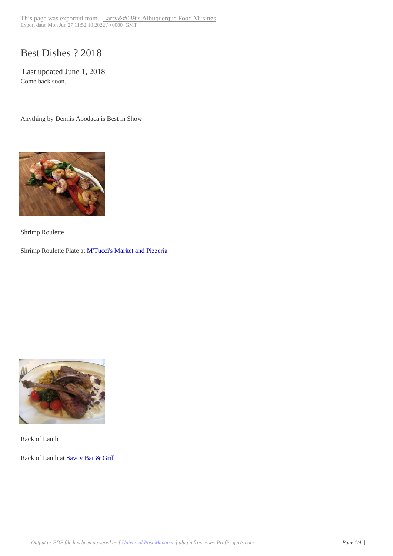## Best Dishes ? 2018

Last updated June 1, 2018 Come back soon.

Anything by Dennis Apodaca is Best in Show



[Shrimp Roulette](http://www.abqtopten.com/blog/wp-content/uploads/2018/05/shrimp-Roulette.jpg)

Shrimp Roulette Plate at **M'Tucci's Market and Pizzeria** 



[Rack of Lamb](http://www.abqtopten.com/blog/wp-content/uploads/2018/05/lamb.jpg)

Rack of Lamb at Savoy Bar & Grill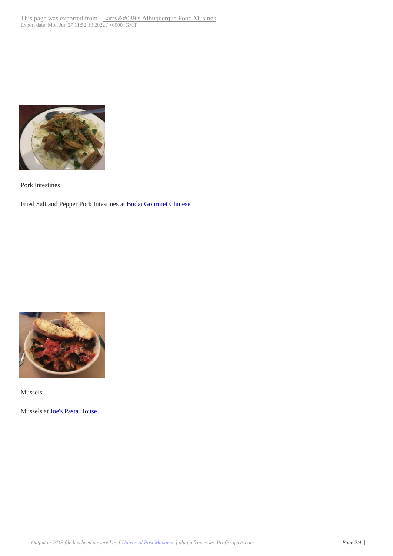

[Pork Intestines](http://www.abqtopten.com/blog/wp-content/uploads/2018/05/pork-intestines.jpg)

Fried Salt and Pepper Pork Intestines at **Budai Gourmet Chinese** 



Mussels

[Mussels at Joe's Pasta House](http://www.abqtopten.com/blog/wp-content/uploads/2018/05/mussels.jpg)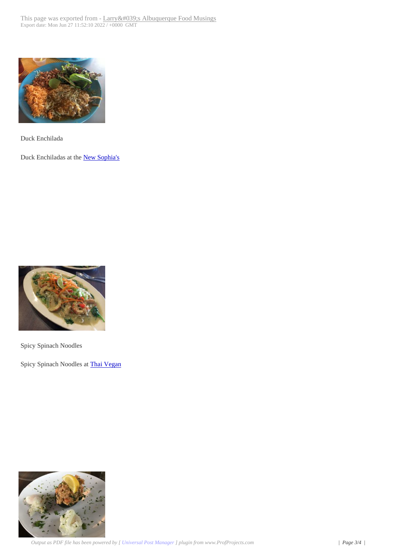

[Duck Enchilada](http://www.abqtopten.com/blog/wp-content/uploads/2018/05/duck-enchilada.jpg)

Duck Enchiladas at the New Sophia's



[Spicy Spinach Noodles](http://www.abqtopten.com/blog/wp-content/uploads/2018/05/spinach-noodles.jpg)

Spicy Spinach Noodles at Thai Vegan